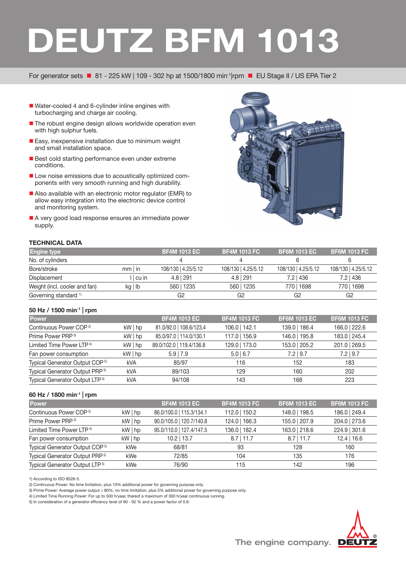# **DEUTZ BFM 1013**

For generator sets  $\blacksquare$  81 - 225 kW | 109 - 302 hp at 1500/1800 min<sup>-1</sup>|rpm  $\blacksquare$  EU Stage II / US EPA Tier 2

- Water-cooled 4 and 6-cylinder inline engines with turbocharging and charge air cooling.
- The robust engine design allows worldwide operation even with high sulphur fuels.
- **Easy, inexpensive installation due to minimum weight** and small installation space.
- Best cold starting performance even under extreme conditions.
- Low noise emissions due to acoustically optimized components with very smooth running and high durability.
- Also available with an electronic motor regulator (EMR) to allow easy integration into the electronic device control and monitoring system.
- A very good load response ensures an immediate power supply.



# **TECHNICAL DATA**

| <b>Engine type</b>               |              | <b>BF4M 1013 EC</b> | <b>BF4M 1013 FC</b> | <b>BF6M 1013 EC</b> | <b>BF6M 1013 FC</b> $^{\prime}$ |
|----------------------------------|--------------|---------------------|---------------------|---------------------|---------------------------------|
| No. of cylinders                 |              |                     |                     |                     |                                 |
| Bore/stroke                      | $mm$ in      | 108/130 4.25/5.12   | 108/130 4.25/5.12   | 108/130 4.25/5.12   | 108/130 4.25/5.12               |
| Displacement                     | cu           | $4.8$   291         | $4.8$   291         | $7.2$   436         | $7.2$   436                     |
| Weight (incl. cooler and fan)    | $kq \mid lb$ | 560   1235          | 560   1235          | 770   1698          | 770   1698                      |
| Governing standard <sup>1)</sup> |              | G2                  | G <sub>2</sub>      | G2                  | G2                              |

### **50 Hz / 1500 min-1 | rpm**

| <b>Power</b>                               |              | <b>BF4M 1013 EC</b>      | <b>BF4M 1013 FC</b> | <b>BF6M 1013 EC</b> | <b>BF6M 1013 FC</b> |
|--------------------------------------------|--------------|--------------------------|---------------------|---------------------|---------------------|
| Continuous Power COP <sup>2)</sup>         | $kW$   hp    | 81.0/92.0   108.6/123.4  | 106.0   142.1       | 139.0   186.4       | 166.0   222.6       |
| Prime Power PRP <sup>3)</sup>              | $kW $ hp     | 85.0/97.0   114.0/130.1  | 117.0   156.9       | 146.0   195.8       | 183.0   245.4       |
| Limited Time Power LTP <sup>4)</sup>       | $kW$   hp    | 89.0/102.0   119.4/136.8 | 129.0   173.0       | 153.0   205.2       | 201.0   269.5       |
| Fan power consumption                      | $kW \mid hp$ | $5.9$   7.9              | $5.0$   6.7         | $7.2$   9.7         | $7.2$   9.7         |
| Typical Generator Output COP <sup>5)</sup> | <b>kVA</b>   | 85/97                    | 116                 | 152                 | 183                 |
| Typical Generator Output PRP <sup>5)</sup> | <b>kVA</b>   | 89/103                   | 129                 | 160                 | 202                 |
| Typical Generator Output LTP <sup>5)</sup> | <b>kVA</b>   | 94/108                   | 143                 | 168                 | 223                 |
|                                            |              |                          |                     |                     |                     |

# **60 Hz / 1800 min-1 | rpm**

| Power                                      |              | <b>BF4M 1013 EC</b>      | <b>BF4M 1013 FC</b> | <b>BF6M 1013 EC</b> | <b>BF6M 1013 FC</b> |
|--------------------------------------------|--------------|--------------------------|---------------------|---------------------|---------------------|
| Continuous Power COP <sup>2)</sup>         | $kW \mid hp$ | 86.0/100.0   115.3/134.1 | 112.0   150.2       | 148.0   198.5       | 186.0   249.4       |
| Prime Power PRP <sup>3)</sup>              | $kW$   hp    | 90.0/105.0   120.7/140.8 | 124.0   166.3       | 155.0   207.9       | 204.0   273.6       |
| Limited Time Power LTP <sup>4)</sup>       | $kW \mid hp$ | 95.0/110.0   127.4/147.5 | 136.0   182.4       | 163.0   218.6       | 224.9 301.6         |
| Fan power consumption                      | $kW$   hp    | $10.2$   13.7            | $8.7$   11.7        | $8.7$   11.7        | $12.4$   16.6       |
| Typical Generator Output COP <sup>5)</sup> | kWe          | 68/81                    | 93                  | 128                 | 160                 |
| Typical Generator Output PRP <sup>5)</sup> | kWe          | 72/85                    | 104                 | 135                 | 176                 |
| Typical Generator Output LTP <sup>5)</sup> | kWe          | 76/90                    | 115                 | 142                 | 196                 |

1) According to ISO 8528-5.

2) Continuous Power: No time limitation, plus 10% additional power for governing purpose only.

3) Prime Power: Average power output ≤ 80%, no time limitation, plus 5% additional power for governing purpose only.

5) In consideration of a generator efficiency level of 90 - 92 % and a power factor of 0.8.



<sup>4)</sup> Limited Time Running Power: For up to 500 h/year, thereof a maximum of 300 h/year continuous running.